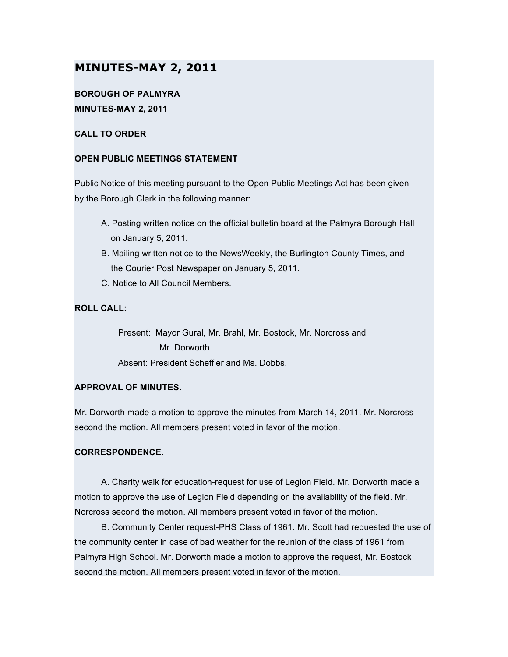# **MINUTES-MAY 2, 2011**

## **BOROUGH OF PALMYRA MINUTES-MAY 2, 2011**

### **CALL TO ORDER**

### **OPEN PUBLIC MEETINGS STATEMENT**

Public Notice of this meeting pursuant to the Open Public Meetings Act has been given by the Borough Clerk in the following manner:

- A. Posting written notice on the official bulletin board at the Palmyra Borough Hall on January 5, 2011.
- B. Mailing written notice to the NewsWeekly, the Burlington County Times, and the Courier Post Newspaper on January 5, 2011.
- C. Notice to All Council Members.

### **ROLL CALL:**

Present: Mayor Gural, Mr. Brahl, Mr. Bostock, Mr. Norcross and Mr. Dorworth. Absent: President Scheffler and Ms. Dobbs.

### **APPROVAL OF MINUTES.**

Mr. Dorworth made a motion to approve the minutes from March 14, 2011. Mr. Norcross second the motion. All members present voted in favor of the motion.

### **CORRESPONDENCE.**

A. Charity walk for education-request for use of Legion Field. Mr. Dorworth made a motion to approve the use of Legion Field depending on the availability of the field. Mr. Norcross second the motion. All members present voted in favor of the motion.

B. Community Center request-PHS Class of 1961. Mr. Scott had requested the use of the community center in case of bad weather for the reunion of the class of 1961 from Palmyra High School. Mr. Dorworth made a motion to approve the request, Mr. Bostock second the motion. All members present voted in favor of the motion.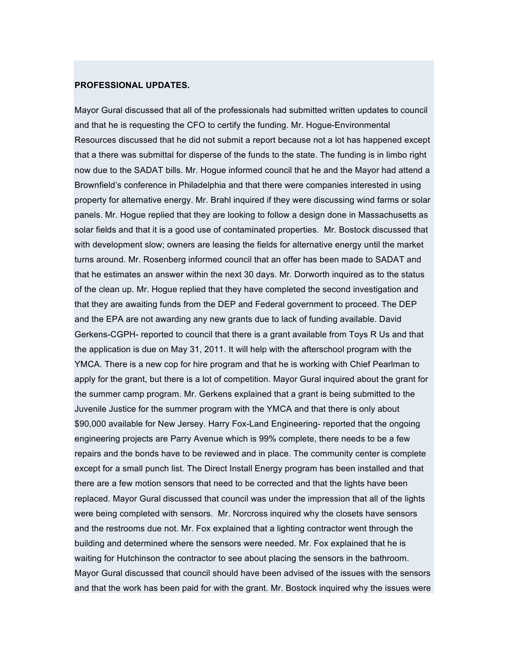#### **PROFESSIONAL UPDATES.**

Mayor Gural discussed that all of the professionals had submitted written updates to council and that he is requesting the CFO to certify the funding. Mr. Hogue-Environmental Resources discussed that he did not submit a report because not a lot has happened except that a there was submittal for disperse of the funds to the state. The funding is in limbo right now due to the SADAT bills. Mr. Hogue informed council that he and the Mayor had attend a Brownfield's conference in Philadelphia and that there were companies interested in using property for alternative energy. Mr. Brahl inquired if they were discussing wind farms or solar panels. Mr. Hogue replied that they are looking to follow a design done in Massachusetts as solar fields and that it is a good use of contaminated properties. Mr. Bostock discussed that with development slow; owners are leasing the fields for alternative energy until the market turns around. Mr. Rosenberg informed council that an offer has been made to SADAT and that he estimates an answer within the next 30 days. Mr. Dorworth inquired as to the status of the clean up. Mr. Hogue replied that they have completed the second investigation and that they are awaiting funds from the DEP and Federal government to proceed. The DEP and the EPA are not awarding any new grants due to lack of funding available. David Gerkens-CGPH- reported to council that there is a grant available from Toys R Us and that the application is due on May 31, 2011. It will help with the afterschool program with the YMCA. There is a new cop for hire program and that he is working with Chief Pearlman to apply for the grant, but there is a lot of competition. Mayor Gural inquired about the grant for the summer camp program. Mr. Gerkens explained that a grant is being submitted to the Juvenile Justice for the summer program with the YMCA and that there is only about \$90,000 available for New Jersey. Harry Fox-Land Engineering- reported that the ongoing engineering projects are Parry Avenue which is 99% complete, there needs to be a few repairs and the bonds have to be reviewed and in place. The community center is complete except for a small punch list. The Direct Install Energy program has been installed and that there are a few motion sensors that need to be corrected and that the lights have been replaced. Mayor Gural discussed that council was under the impression that all of the lights were being completed with sensors. Mr. Norcross inquired why the closets have sensors and the restrooms due not. Mr. Fox explained that a lighting contractor went through the building and determined where the sensors were needed. Mr. Fox explained that he is waiting for Hutchinson the contractor to see about placing the sensors in the bathroom. Mayor Gural discussed that council should have been advised of the issues with the sensors and that the work has been paid for with the grant. Mr. Bostock inquired why the issues were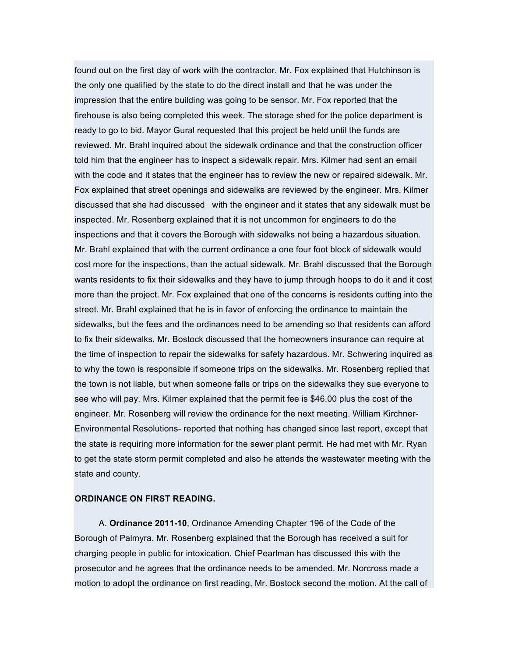found out on the first day of work with the contractor. Mr. Fox explained that Hutchinson is the only one qualified by the state to do the direct install and that he was under the impression that the entire building was going to be sensor. Mr. Fox reported that the firehouse is also being completed this week. The storage shed for the police department is ready to go to bid. Mayor Gural requested that this project be held until the funds are reviewed. Mr. Brahl inquired about the sidewalk ordinance and that the construction officer told him that the engineer has to inspect a sidewalk repair. Mrs. Kilmer had sent an email with the code and it states that the engineer has to review the new or repaired sidewalk. Mr. Fox explained that street openings and sidewalks are reviewed by the engineer. Mrs. Kilmer discussed that she had discussed with the engineer and it states that any sidewalk must be inspected. Mr. Rosenberg explained that it is not uncommon for engineers to do the inspections and that it covers the Borough with sidewalks not being a hazardous situation. Mr. Brahl explained that with the current ordinance a one four foot block of sidewalk would cost more for the inspections, than the actual sidewalk. Mr. Brahl discussed that the Borough wants residents to fix their sidewalks and they have to jump through hoops to do it and it cost more than the project. Mr. Fox explained that one of the concerns is residents cutting into the street. Mr. Brahl explained that he is in favor of enforcing the ordinance to maintain the sidewalks, but the fees and the ordinances need to be amending so that residents can afford to fix their sidewalks. Mr. Bostock discussed that the homeowners insurance can require at the time of inspection to repair the sidewalks for safety hazardous. Mr. Schwering inquired as to why the town is responsible if someone trips on the sidewalks. Mr. Rosenberg replied that the town is not liable, but when someone falls or trips on the sidewalks they sue everyone to see who will pay. Mrs. Kilmer explained that the permit fee is \$46.00 plus the cost of the engineer. Mr. Rosenberg will review the ordinance for the next meeting. William Kirchner-Environmental Resolutions- reported that nothing has changed since last report, except that the state is requiring more information for the sewer plant permit. He had met with Mr. Ryan to get the state storm permit completed and also he attends the wastewater meeting with the state and county.

### **ORDINANCE ON FIRST READING.**

A. **Ordinance 2011-10**, Ordinance Amending Chapter 196 of the Code of the Borough of Palmyra. Mr. Rosenberg explained that the Borough has received a suit for charging people in public for intoxication. Chief Pearlman has discussed this with the prosecutor and he agrees that the ordinance needs to be amended. Mr. Norcross made a motion to adopt the ordinance on first reading, Mr. Bostock second the motion. At the call of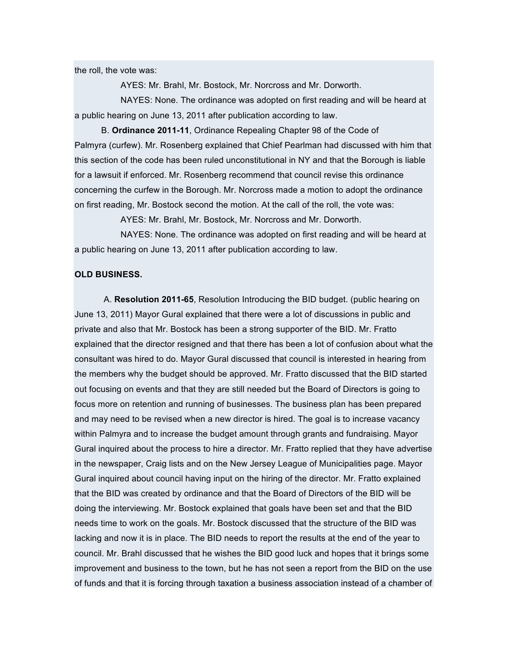the roll, the vote was:

AYES: Mr. Brahl, Mr. Bostock, Mr. Norcross and Mr. Dorworth.

NAYES: None. The ordinance was adopted on first reading and will be heard at a public hearing on June 13, 2011 after publication according to law.

B. **Ordinance 2011-11**, Ordinance Repealing Chapter 98 of the Code of Palmyra (curfew). Mr. Rosenberg explained that Chief Pearlman had discussed with him that this section of the code has been ruled unconstitutional in NY and that the Borough is liable for a lawsuit if enforced. Mr. Rosenberg recommend that council revise this ordinance concerning the curfew in the Borough. Mr. Norcross made a motion to adopt the ordinance on first reading, Mr. Bostock second the motion. At the call of the roll, the vote was:

AYES: Mr. Brahl, Mr. Bostock, Mr. Norcross and Mr. Dorworth.

NAYES: None. The ordinance was adopted on first reading and will be heard at a public hearing on June 13, 2011 after publication according to law.

### **OLD BUSINESS.**

A. **Resolution 2011-65**, Resolution Introducing the BID budget. (public hearing on June 13, 2011) Mayor Gural explained that there were a lot of discussions in public and private and also that Mr. Bostock has been a strong supporter of the BID. Mr. Fratto explained that the director resigned and that there has been a lot of confusion about what the consultant was hired to do. Mayor Gural discussed that council is interested in hearing from the members why the budget should be approved. Mr. Fratto discussed that the BID started out focusing on events and that they are still needed but the Board of Directors is going to focus more on retention and running of businesses. The business plan has been prepared and may need to be revised when a new director is hired. The goal is to increase vacancy within Palmyra and to increase the budget amount through grants and fundraising. Mayor Gural inquired about the process to hire a director. Mr. Fratto replied that they have advertise in the newspaper, Craig lists and on the New Jersey League of Municipalities page. Mayor Gural inquired about council having input on the hiring of the director. Mr. Fratto explained that the BID was created by ordinance and that the Board of Directors of the BID will be doing the interviewing. Mr. Bostock explained that goals have been set and that the BID needs time to work on the goals. Mr. Bostock discussed that the structure of the BID was lacking and now it is in place. The BID needs to report the results at the end of the year to council. Mr. Brahl discussed that he wishes the BID good luck and hopes that it brings some improvement and business to the town, but he has not seen a report from the BID on the use of funds and that it is forcing through taxation a business association instead of a chamber of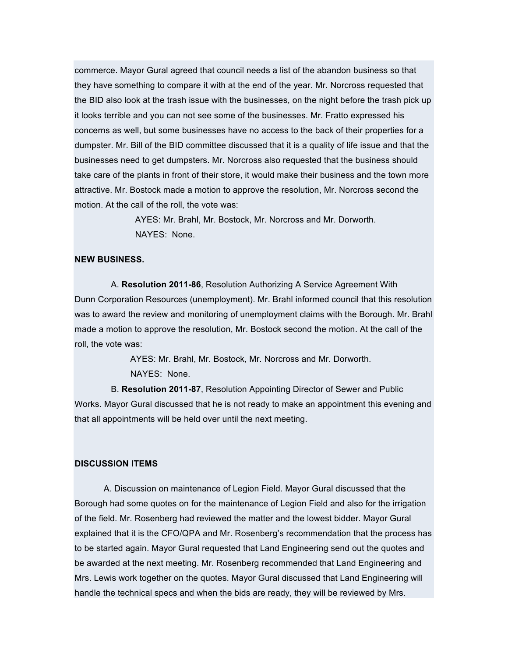commerce. Mayor Gural agreed that council needs a list of the abandon business so that they have something to compare it with at the end of the year. Mr. Norcross requested that the BID also look at the trash issue with the businesses, on the night before the trash pick up it looks terrible and you can not see some of the businesses. Mr. Fratto expressed his concerns as well, but some businesses have no access to the back of their properties for a dumpster. Mr. Bill of the BID committee discussed that it is a quality of life issue and that the businesses need to get dumpsters. Mr. Norcross also requested that the business should take care of the plants in front of their store, it would make their business and the town more attractive. Mr. Bostock made a motion to approve the resolution, Mr. Norcross second the motion. At the call of the roll, the vote was:

> AYES: Mr. Brahl, Mr. Bostock, Mr. Norcross and Mr. Dorworth. NAYES: None.

### **NEW BUSINESS.**

A. **Resolution 2011-86**, Resolution Authorizing A Service Agreement With Dunn Corporation Resources (unemployment). Mr. Brahl informed council that this resolution was to award the review and monitoring of unemployment claims with the Borough. Mr. Brahl made a motion to approve the resolution, Mr. Bostock second the motion. At the call of the roll, the vote was:

> AYES: Mr. Brahl, Mr. Bostock, Mr. Norcross and Mr. Dorworth. NAYES: None.

B. **Resolution 2011-87**, Resolution Appointing Director of Sewer and Public Works. Mayor Gural discussed that he is not ready to make an appointment this evening and that all appointments will be held over until the next meeting.

#### **DISCUSSION ITEMS**

A. Discussion on maintenance of Legion Field. Mayor Gural discussed that the Borough had some quotes on for the maintenance of Legion Field and also for the irrigation of the field. Mr. Rosenberg had reviewed the matter and the lowest bidder. Mayor Gural explained that it is the CFO/QPA and Mr. Rosenberg's recommendation that the process has to be started again. Mayor Gural requested that Land Engineering send out the quotes and be awarded at the next meeting. Mr. Rosenberg recommended that Land Engineering and Mrs. Lewis work together on the quotes. Mayor Gural discussed that Land Engineering will handle the technical specs and when the bids are ready, they will be reviewed by Mrs.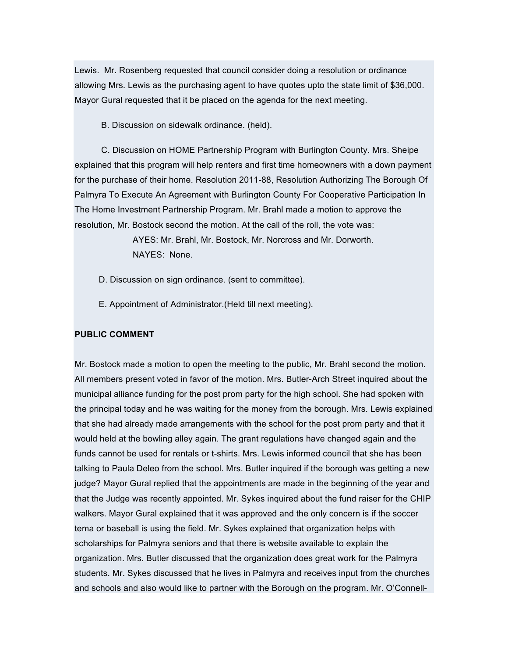Lewis. Mr. Rosenberg requested that council consider doing a resolution or ordinance allowing Mrs. Lewis as the purchasing agent to have quotes upto the state limit of \$36,000. Mayor Gural requested that it be placed on the agenda for the next meeting.

B. Discussion on sidewalk ordinance. (held).

C. Discussion on HOME Partnership Program with Burlington County. Mrs. Sheipe explained that this program will help renters and first time homeowners with a down payment for the purchase of their home. Resolution 2011-88, Resolution Authorizing The Borough Of Palmyra To Execute An Agreement with Burlington County For Cooperative Participation In The Home Investment Partnership Program. Mr. Brahl made a motion to approve the resolution, Mr. Bostock second the motion. At the call of the roll, the vote was:

> AYES: Mr. Brahl, Mr. Bostock, Mr. Norcross and Mr. Dorworth. NAYES: None.

- D. Discussion on sign ordinance. (sent to committee).
- E. Appointment of Administrator.(Held till next meeting).

#### **PUBLIC COMMENT**

Mr. Bostock made a motion to open the meeting to the public, Mr. Brahl second the motion. All members present voted in favor of the motion. Mrs. Butler-Arch Street inquired about the municipal alliance funding for the post prom party for the high school. She had spoken with the principal today and he was waiting for the money from the borough. Mrs. Lewis explained that she had already made arrangements with the school for the post prom party and that it would held at the bowling alley again. The grant regulations have changed again and the funds cannot be used for rentals or t-shirts. Mrs. Lewis informed council that she has been talking to Paula Deleo from the school. Mrs. Butler inquired if the borough was getting a new judge? Mayor Gural replied that the appointments are made in the beginning of the year and that the Judge was recently appointed. Mr. Sykes inquired about the fund raiser for the CHIP walkers. Mayor Gural explained that it was approved and the only concern is if the soccer tema or baseball is using the field. Mr. Sykes explained that organization helps with scholarships for Palmyra seniors and that there is website available to explain the organization. Mrs. Butler discussed that the organization does great work for the Palmyra students. Mr. Sykes discussed that he lives in Palmyra and receives input from the churches and schools and also would like to partner with the Borough on the program. Mr. O'Connell